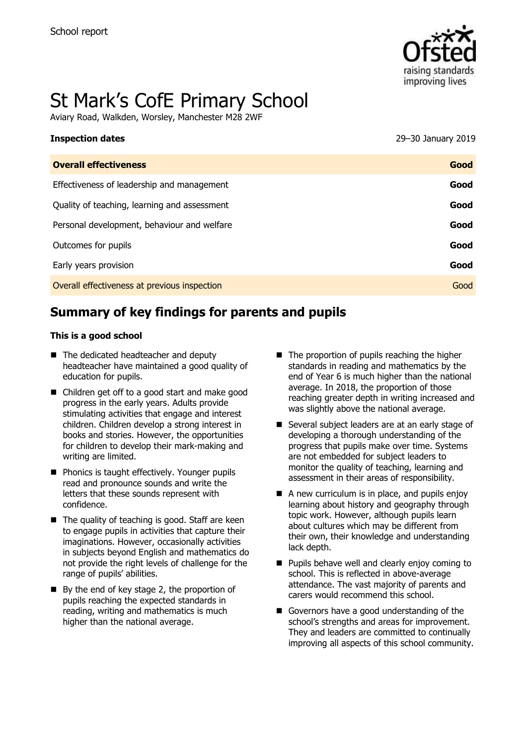

# St Mark's CofE Primary School

Aviary Road, Walkden, Worsley, Manchester M28 2WF

| <b>Inspection dates</b>                      | 29-30 January 2019 |
|----------------------------------------------|--------------------|
| <b>Overall effectiveness</b>                 | Good               |
| Effectiveness of leadership and management   | Good               |
| Quality of teaching, learning and assessment | Good               |
| Personal development, behaviour and welfare  | Good               |
| Outcomes for pupils                          | Good               |
| Early years provision                        | Good               |
| Overall effectiveness at previous inspection | Good               |
|                                              |                    |

# **Summary of key findings for parents and pupils**

#### **This is a good school**

- The dedicated headteacher and deputy headteacher have maintained a good quality of education for pupils.
- Children get off to a good start and make good progress in the early years. Adults provide stimulating activities that engage and interest children. Children develop a strong interest in books and stories. However, the opportunities for children to develop their mark-making and writing are limited.
- **Phonics is taught effectively. Younger pupils** read and pronounce sounds and write the letters that these sounds represent with confidence.
- $\blacksquare$  The quality of teaching is good. Staff are keen to engage pupils in activities that capture their imaginations. However, occasionally activities in subjects beyond English and mathematics do not provide the right levels of challenge for the range of pupils' abilities.
- $\blacksquare$  By the end of key stage 2, the proportion of pupils reaching the expected standards in reading, writing and mathematics is much higher than the national average.
- $\blacksquare$  The proportion of pupils reaching the higher standards in reading and mathematics by the end of Year 6 is much higher than the national average. In 2018, the proportion of those reaching greater depth in writing increased and was slightly above the national average.
- Several subject leaders are at an early stage of developing a thorough understanding of the progress that pupils make over time. Systems are not embedded for subject leaders to monitor the quality of teaching, learning and assessment in their areas of responsibility.
- $\blacksquare$  A new curriculum is in place, and pupils enjoy learning about history and geography through topic work. However, although pupils learn about cultures which may be different from their own, their knowledge and understanding lack depth.
- **Pupils behave well and clearly enjoy coming to** school. This is reflected in above-average attendance. The vast majority of parents and carers would recommend this school.
- Governors have a good understanding of the school's strengths and areas for improvement. They and leaders are committed to continually improving all aspects of this school community.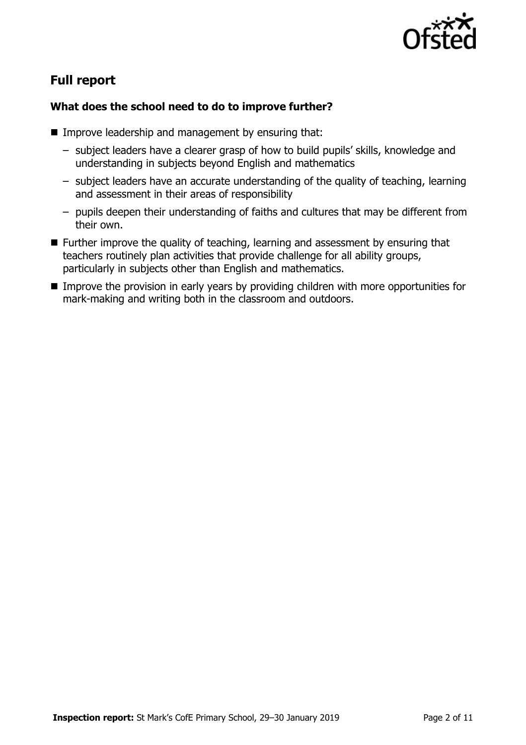

# **Full report**

## **What does the school need to do to improve further?**

- **IMPROVE leadership and management by ensuring that:** 
	- subject leaders have a clearer grasp of how to build pupils' skills, knowledge and understanding in subjects beyond English and mathematics
	- subject leaders have an accurate understanding of the quality of teaching, learning and assessment in their areas of responsibility
	- pupils deepen their understanding of faiths and cultures that may be different from their own.
- Further improve the quality of teaching, learning and assessment by ensuring that teachers routinely plan activities that provide challenge for all ability groups, particularly in subjects other than English and mathematics.
- Improve the provision in early years by providing children with more opportunities for mark-making and writing both in the classroom and outdoors.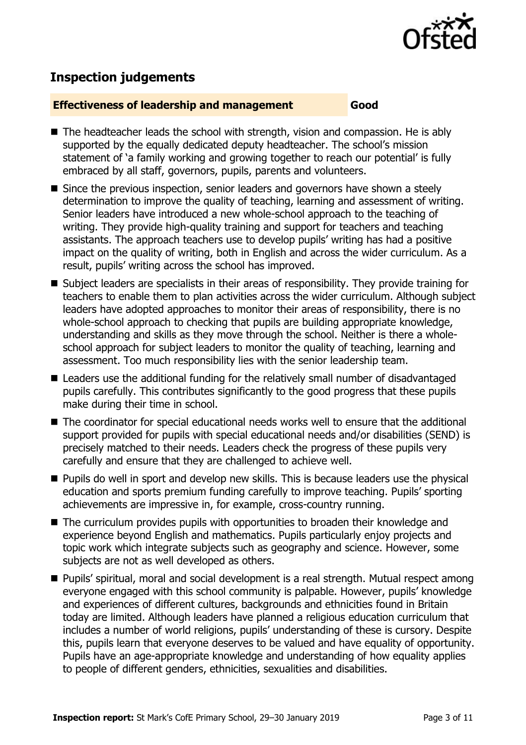

# **Inspection judgements**

#### **Effectiveness of leadership and management Good**

- $\blacksquare$  The headteacher leads the school with strength, vision and compassion. He is ably supported by the equally dedicated deputy headteacher. The school's mission statement of 'a family working and growing together to reach our potential' is fully embraced by all staff, governors, pupils, parents and volunteers.
- Since the previous inspection, senior leaders and governors have shown a steely determination to improve the quality of teaching, learning and assessment of writing. Senior leaders have introduced a new whole-school approach to the teaching of writing. They provide high-quality training and support for teachers and teaching assistants. The approach teachers use to develop pupils' writing has had a positive impact on the quality of writing, both in English and across the wider curriculum. As a result, pupils' writing across the school has improved.
- Subject leaders are specialists in their areas of responsibility. They provide training for teachers to enable them to plan activities across the wider curriculum. Although subject leaders have adopted approaches to monitor their areas of responsibility, there is no whole-school approach to checking that pupils are building appropriate knowledge, understanding and skills as they move through the school. Neither is there a wholeschool approach for subject leaders to monitor the quality of teaching, learning and assessment. Too much responsibility lies with the senior leadership team.
- Leaders use the additional funding for the relatively small number of disadvantaged pupils carefully. This contributes significantly to the good progress that these pupils make during their time in school.
- The coordinator for special educational needs works well to ensure that the additional support provided for pupils with special educational needs and/or disabilities (SEND) is precisely matched to their needs. Leaders check the progress of these pupils very carefully and ensure that they are challenged to achieve well.
- **Pupils do well in sport and develop new skills. This is because leaders use the physical** education and sports premium funding carefully to improve teaching. Pupils' sporting achievements are impressive in, for example, cross-country running.
- The curriculum provides pupils with opportunities to broaden their knowledge and experience beyond English and mathematics. Pupils particularly enjoy projects and topic work which integrate subjects such as geography and science. However, some subjects are not as well developed as others.
- Pupils' spiritual, moral and social development is a real strength. Mutual respect among everyone engaged with this school community is palpable. However, pupils' knowledge and experiences of different cultures, backgrounds and ethnicities found in Britain today are limited. Although leaders have planned a religious education curriculum that includes a number of world religions, pupils' understanding of these is cursory. Despite this, pupils learn that everyone deserves to be valued and have equality of opportunity. Pupils have an age-appropriate knowledge and understanding of how equality applies to people of different genders, ethnicities, sexualities and disabilities.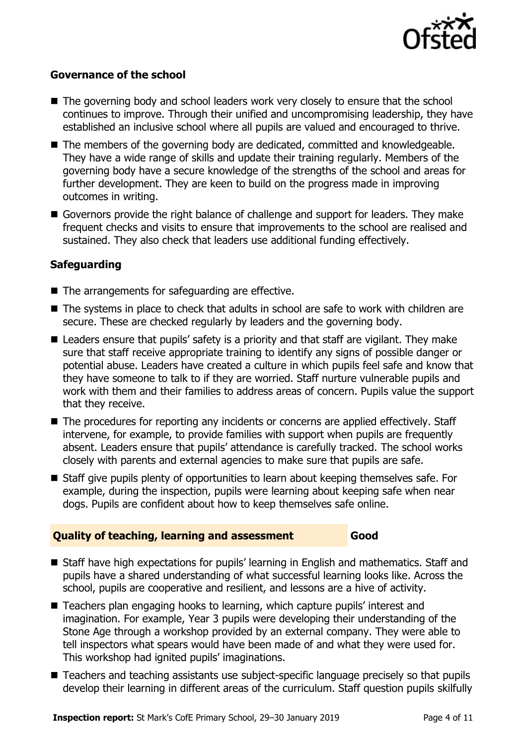

#### **Governance of the school**

- The governing body and school leaders work very closely to ensure that the school continues to improve. Through their unified and uncompromising leadership, they have established an inclusive school where all pupils are valued and encouraged to thrive.
- The members of the governing body are dedicated, committed and knowledgeable. They have a wide range of skills and update their training regularly. Members of the governing body have a secure knowledge of the strengths of the school and areas for further development. They are keen to build on the progress made in improving outcomes in writing.
- Governors provide the right balance of challenge and support for leaders. They make frequent checks and visits to ensure that improvements to the school are realised and sustained. They also check that leaders use additional funding effectively.

## **Safeguarding**

- $\blacksquare$  The arrangements for safeguarding are effective.
- The systems in place to check that adults in school are safe to work with children are secure. These are checked regularly by leaders and the governing body.
- Leaders ensure that pupils' safety is a priority and that staff are vigilant. They make sure that staff receive appropriate training to identify any signs of possible danger or potential abuse. Leaders have created a culture in which pupils feel safe and know that they have someone to talk to if they are worried. Staff nurture vulnerable pupils and work with them and their families to address areas of concern. Pupils value the support that they receive.
- The procedures for reporting any incidents or concerns are applied effectively. Staff intervene, for example, to provide families with support when pupils are frequently absent. Leaders ensure that pupils' attendance is carefully tracked. The school works closely with parents and external agencies to make sure that pupils are safe.
- Staff give pupils plenty of opportunities to learn about keeping themselves safe. For example, during the inspection, pupils were learning about keeping safe when near dogs. Pupils are confident about how to keep themselves safe online.

#### **Quality of teaching, learning and assessment Good**

- Staff have high expectations for pupils' learning in English and mathematics. Staff and pupils have a shared understanding of what successful learning looks like. Across the school, pupils are cooperative and resilient, and lessons are a hive of activity.
- Teachers plan engaging hooks to learning, which capture pupils' interest and imagination. For example, Year 3 pupils were developing their understanding of the Stone Age through a workshop provided by an external company. They were able to tell inspectors what spears would have been made of and what they were used for. This workshop had ignited pupils' imaginations.
- Teachers and teaching assistants use subject-specific language precisely so that pupils develop their learning in different areas of the curriculum. Staff question pupils skilfully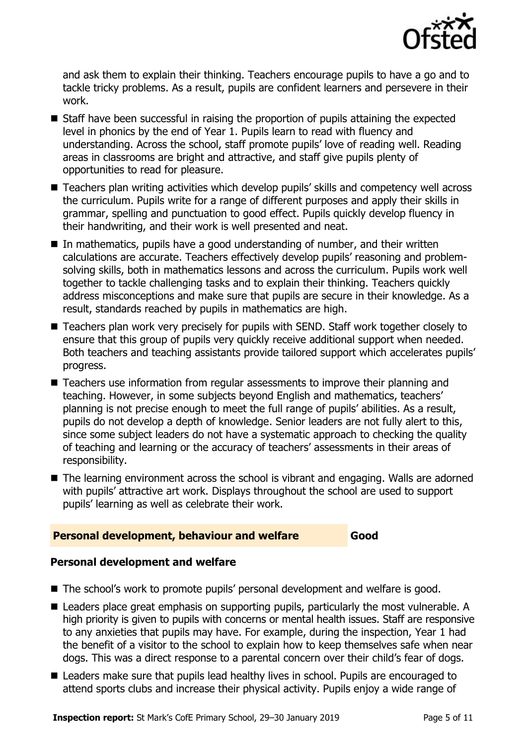

and ask them to explain their thinking. Teachers encourage pupils to have a go and to tackle tricky problems. As a result, pupils are confident learners and persevere in their work.

- Staff have been successful in raising the proportion of pupils attaining the expected level in phonics by the end of Year 1. Pupils learn to read with fluency and understanding. Across the school, staff promote pupils' love of reading well. Reading areas in classrooms are bright and attractive, and staff give pupils plenty of opportunities to read for pleasure.
- Teachers plan writing activities which develop pupils' skills and competency well across the curriculum. Pupils write for a range of different purposes and apply their skills in grammar, spelling and punctuation to good effect. Pupils quickly develop fluency in their handwriting, and their work is well presented and neat.
- In mathematics, pupils have a good understanding of number, and their written calculations are accurate. Teachers effectively develop pupils' reasoning and problemsolving skills, both in mathematics lessons and across the curriculum. Pupils work well together to tackle challenging tasks and to explain their thinking. Teachers quickly address misconceptions and make sure that pupils are secure in their knowledge. As a result, standards reached by pupils in mathematics are high.
- Teachers plan work very precisely for pupils with SEND. Staff work together closely to ensure that this group of pupils very quickly receive additional support when needed. Both teachers and teaching assistants provide tailored support which accelerates pupils' progress.
- Teachers use information from regular assessments to improve their planning and teaching. However, in some subjects beyond English and mathematics, teachers' planning is not precise enough to meet the full range of pupils' abilities. As a result, pupils do not develop a depth of knowledge. Senior leaders are not fully alert to this, since some subject leaders do not have a systematic approach to checking the quality of teaching and learning or the accuracy of teachers' assessments in their areas of responsibility.
- The learning environment across the school is vibrant and engaging. Walls are adorned with pupils' attractive art work. Displays throughout the school are used to support pupils' learning as well as celebrate their work.

## **Personal development, behaviour and welfare Good**

## **Personal development and welfare**

- The school's work to promote pupils' personal development and welfare is good.
- Leaders place great emphasis on supporting pupils, particularly the most vulnerable. A high priority is given to pupils with concerns or mental health issues. Staff are responsive to any anxieties that pupils may have. For example, during the inspection, Year 1 had the benefit of a visitor to the school to explain how to keep themselves safe when near dogs. This was a direct response to a parental concern over their child's fear of dogs.
- Leaders make sure that pupils lead healthy lives in school. Pupils are encouraged to attend sports clubs and increase their physical activity. Pupils enjoy a wide range of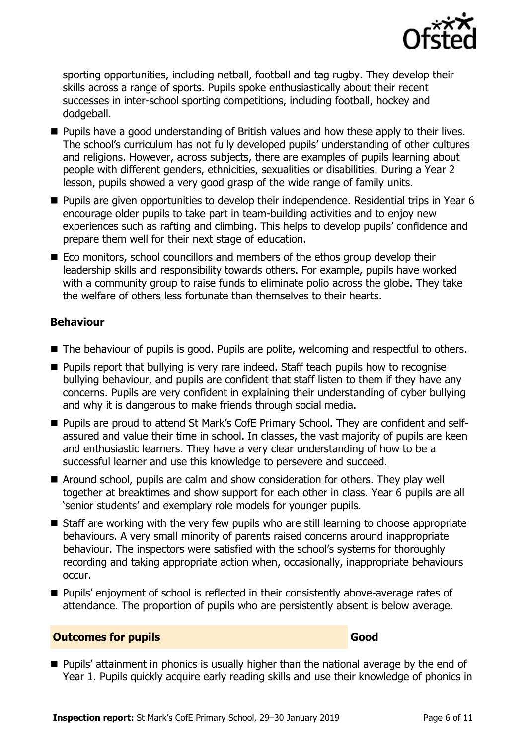

sporting opportunities, including netball, football and tag rugby. They develop their skills across a range of sports. Pupils spoke enthusiastically about their recent successes in inter-school sporting competitions, including football, hockey and dodgeball.

- **Pupils have a good understanding of British values and how these apply to their lives.** The school's curriculum has not fully developed pupils' understanding of other cultures and religions. However, across subjects, there are examples of pupils learning about people with different genders, ethnicities, sexualities or disabilities. During a Year 2 lesson, pupils showed a very good grasp of the wide range of family units.
- Pupils are given opportunities to develop their independence. Residential trips in Year 6 encourage older pupils to take part in team-building activities and to enjoy new experiences such as rafting and climbing. This helps to develop pupils' confidence and prepare them well for their next stage of education.
- Eco monitors, school councillors and members of the ethos group develop their leadership skills and responsibility towards others. For example, pupils have worked with a community group to raise funds to eliminate polio across the globe. They take the welfare of others less fortunate than themselves to their hearts.

## **Behaviour**

- The behaviour of pupils is good. Pupils are polite, welcoming and respectful to others.
- **Pupils report that bullying is very rare indeed. Staff teach pupils how to recognise** bullying behaviour, and pupils are confident that staff listen to them if they have any concerns. Pupils are very confident in explaining their understanding of cyber bullying and why it is dangerous to make friends through social media.
- Pupils are proud to attend St Mark's CofE Primary School. They are confident and selfassured and value their time in school. In classes, the vast majority of pupils are keen and enthusiastic learners. They have a very clear understanding of how to be a successful learner and use this knowledge to persevere and succeed.
- Around school, pupils are calm and show consideration for others. They play well together at breaktimes and show support for each other in class. Year 6 pupils are all 'senior students' and exemplary role models for younger pupils.
- Staff are working with the very few pupils who are still learning to choose appropriate behaviours. A very small minority of parents raised concerns around inappropriate behaviour. The inspectors were satisfied with the school's systems for thoroughly recording and taking appropriate action when, occasionally, inappropriate behaviours occur.
- Pupils' enjoyment of school is reflected in their consistently above-average rates of attendance. The proportion of pupils who are persistently absent is below average.

## **Outcomes for pupils Good**

**Pupils' attainment in phonics is usually higher than the national average by the end of** Year 1. Pupils quickly acquire early reading skills and use their knowledge of phonics in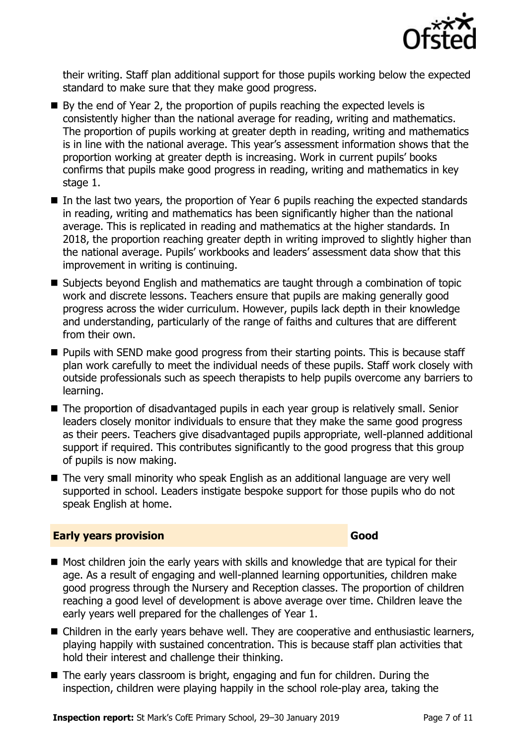

their writing. Staff plan additional support for those pupils working below the expected standard to make sure that they make good progress.

- $\blacksquare$  By the end of Year 2, the proportion of pupils reaching the expected levels is consistently higher than the national average for reading, writing and mathematics. The proportion of pupils working at greater depth in reading, writing and mathematics is in line with the national average. This year's assessment information shows that the proportion working at greater depth is increasing. Work in current pupils' books confirms that pupils make good progress in reading, writing and mathematics in key stage 1.
- In the last two vears, the proportion of Year 6 pupils reaching the expected standards in reading, writing and mathematics has been significantly higher than the national average. This is replicated in reading and mathematics at the higher standards. In 2018, the proportion reaching greater depth in writing improved to slightly higher than the national average. Pupils' workbooks and leaders' assessment data show that this improvement in writing is continuing.
- Subjects beyond English and mathematics are taught through a combination of topic work and discrete lessons. Teachers ensure that pupils are making generally good progress across the wider curriculum. However, pupils lack depth in their knowledge and understanding, particularly of the range of faiths and cultures that are different from their own.
- **Pupils with SEND make good progress from their starting points. This is because staff** plan work carefully to meet the individual needs of these pupils. Staff work closely with outside professionals such as speech therapists to help pupils overcome any barriers to learning.
- The proportion of disadvantaged pupils in each year group is relatively small. Senior leaders closely monitor individuals to ensure that they make the same good progress as their peers. Teachers give disadvantaged pupils appropriate, well-planned additional support if required. This contributes significantly to the good progress that this group of pupils is now making.
- The very small minority who speak English as an additional language are very well supported in school. Leaders instigate bespoke support for those pupils who do not speak English at home.

#### **Early years provision Good Good**

- Most children join the early years with skills and knowledge that are typical for their age. As a result of engaging and well-planned learning opportunities, children make good progress through the Nursery and Reception classes. The proportion of children reaching a good level of development is above average over time. Children leave the early years well prepared for the challenges of Year 1.
- Children in the early years behave well. They are cooperative and enthusiastic learners, playing happily with sustained concentration. This is because staff plan activities that hold their interest and challenge their thinking.
- The early years classroom is bright, engaging and fun for children. During the inspection, children were playing happily in the school role-play area, taking the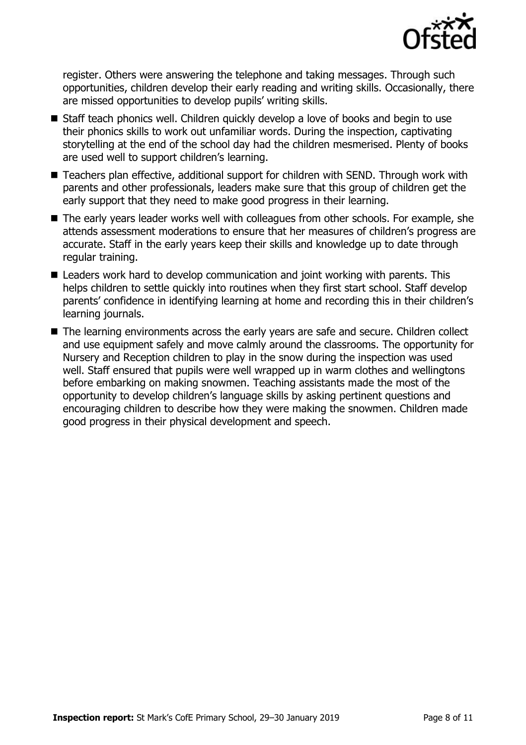

register. Others were answering the telephone and taking messages. Through such opportunities, children develop their early reading and writing skills. Occasionally, there are missed opportunities to develop pupils' writing skills.

- Staff teach phonics well. Children quickly develop a love of books and begin to use their phonics skills to work out unfamiliar words. During the inspection, captivating storytelling at the end of the school day had the children mesmerised. Plenty of books are used well to support children's learning.
- Teachers plan effective, additional support for children with SEND. Through work with parents and other professionals, leaders make sure that this group of children get the early support that they need to make good progress in their learning.
- The early years leader works well with colleagues from other schools. For example, she attends assessment moderations to ensure that her measures of children's progress are accurate. Staff in the early years keep their skills and knowledge up to date through regular training.
- Leaders work hard to develop communication and joint working with parents. This helps children to settle quickly into routines when they first start school. Staff develop parents' confidence in identifying learning at home and recording this in their children's learning journals.
- The learning environments across the early years are safe and secure. Children collect and use equipment safely and move calmly around the classrooms. The opportunity for Nursery and Reception children to play in the snow during the inspection was used well. Staff ensured that pupils were well wrapped up in warm clothes and wellingtons before embarking on making snowmen. Teaching assistants made the most of the opportunity to develop children's language skills by asking pertinent questions and encouraging children to describe how they were making the snowmen. Children made good progress in their physical development and speech.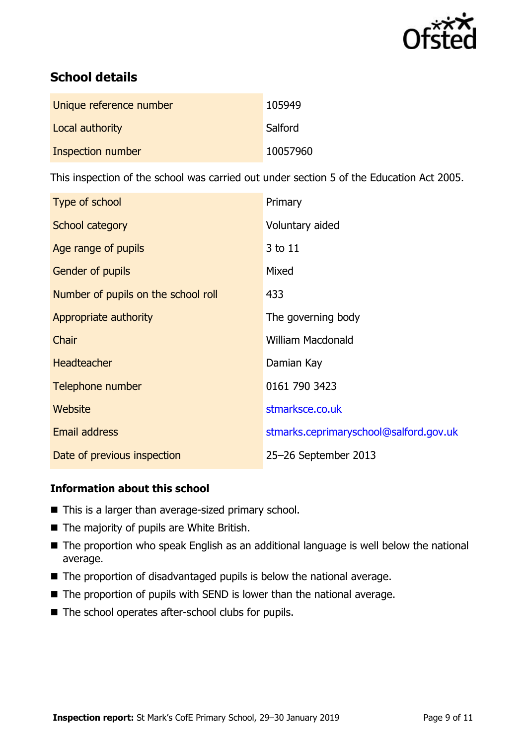

# **School details**

| Unique reference number | 105949   |
|-------------------------|----------|
| Local authority         | Salford  |
| Inspection number       | 10057960 |

This inspection of the school was carried out under section 5 of the Education Act 2005.

| Type of school                      | Primary                                |
|-------------------------------------|----------------------------------------|
| School category                     | Voluntary aided                        |
| Age range of pupils                 | 3 to 11                                |
| <b>Gender of pupils</b>             | Mixed                                  |
| Number of pupils on the school roll | 433                                    |
| Appropriate authority               | The governing body                     |
| Chair                               | <b>William Macdonald</b>               |
| <b>Headteacher</b>                  | Damian Kay                             |
| Telephone number                    | 0161 790 3423                          |
| <b>Website</b>                      | stmarksce.co.uk                        |
| <b>Email address</b>                | stmarks.ceprimaryschool@salford.gov.uk |
| Date of previous inspection         | 25-26 September 2013                   |

## **Information about this school**

- This is a larger than average-sized primary school.
- The majority of pupils are White British.
- The proportion who speak English as an additional language is well below the national average.
- The proportion of disadvantaged pupils is below the national average.
- $\blacksquare$  The proportion of pupils with SEND is lower than the national average.
- The school operates after-school clubs for pupils.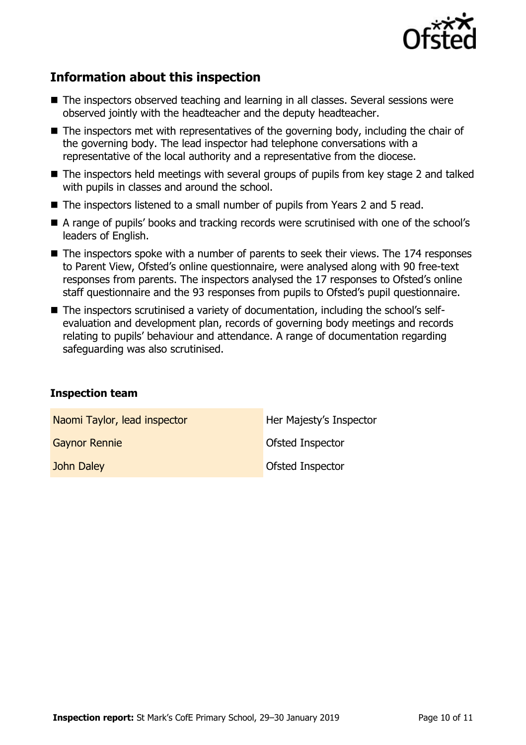

# **Information about this inspection**

- The inspectors observed teaching and learning in all classes. Several sessions were observed jointly with the headteacher and the deputy headteacher.
- The inspectors met with representatives of the governing body, including the chair of the governing body. The lead inspector had telephone conversations with a representative of the local authority and a representative from the diocese.
- The inspectors held meetings with several groups of pupils from key stage 2 and talked with pupils in classes and around the school.
- The inspectors listened to a small number of pupils from Years 2 and 5 read.
- A range of pupils' books and tracking records were scrutinised with one of the school's leaders of English.
- The inspectors spoke with a number of parents to seek their views. The 174 responses to Parent View, Ofsted's online questionnaire, were analysed along with 90 free-text responses from parents. The inspectors analysed the 17 responses to Ofsted's online staff questionnaire and the 93 responses from pupils to Ofsted's pupil questionnaire.
- The inspectors scrutinised a variety of documentation, including the school's selfevaluation and development plan, records of governing body meetings and records relating to pupils' behaviour and attendance. A range of documentation regarding safeguarding was also scrutinised.

#### **Inspection team**

| Naomi Taylor, lead inspector | Her Majesty's Inspector |
|------------------------------|-------------------------|
| <b>Gaynor Rennie</b>         | Ofsted Inspector        |
| John Daley                   | <b>Ofsted Inspector</b> |